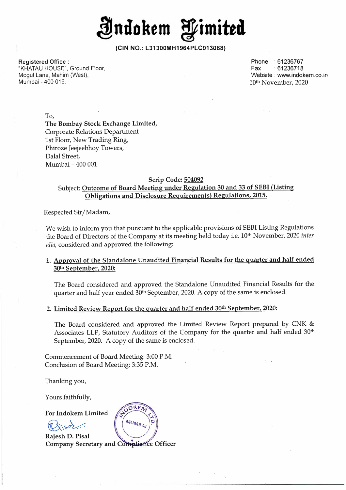

**(CIN NO.: L31300MH1964PLC013088)** 

**Registered Office :**  "KHATAU HOUSE", Ground Floor, Mogul Lane, Mahim (West), Mumbai - 400 016.

Phone :61236767 Fax :61236718 Website : www.indokem.co.in 1Qth November, 2020

To,

**The Bombay Stock Exchange Limited,**  Corporate Relations Department 1st Floor, New Trading Ring, Phiroze Jeejeebhoy Towers, Dalal Street, Mumbai - 400 001

## **Scrip Code: 504092**  Subject: **Outcome of Board Meeting under Regulation 30 and 33 of SEBI (Listing Obligations and Disclosure Requirements) Regulations, 2015.**

Respected Sir/Madam,

We wish to inform you that pursuant to the applicable provisions of SEBI Listing Regulations the Board of Directors of the Company at its meeting held today i.e. 10<sup>th</sup> November, 2020 *inter* alia, considered and approved the following:

# **1. Approval of the Standalone Unaudited Financial Results for the quarter and half ended**  30th **September, 2020:**

The Board considered and approved the Standalone Unaudited Financial Results for the quarter and half year ended 30<sup>th</sup> September, 2020. A copy of the same is enclosed.

## **2. Limited Review Report for the quarter and half ended 30 th September, 2020:**

The Board considered and approved the Limited Review Report prepared by. CNK & Associates LLP, Statutory Auditors of the Company for the quarter and half ended 30<sup>th</sup> September, 2020. A copy of the same is enclosed.

Commencement of Board Meeting: 3:00 P.M. Conclusion of Board Meeting: 3:35 P.M.

Thanking you,

Yours faithfully,

**For Indokem Limited** 

 $~\circ~$  Indokem Limite<br> $~\circ~$ 

Rajesh D. Pisal For Indokem Limited  $Q_{NS}$ <br>
Rajesh D. Pisal<br>
Company Secretary and Compliance Officer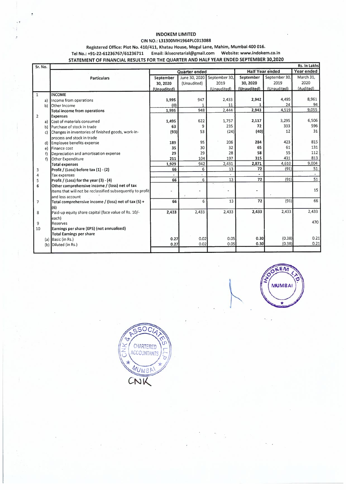### INDOKEM LIMITED

#### CIN NO.: L31300MH1964PLC013088

### Registered Office: Plot No. 410/411, Khatau House, Mogul Lane, Mahim, Mumbai 400 016.

Tel No.: +91-22-61236767 /61236711 Email: iklsecretarial@gmail.com Website: www.indokem.co.in

### STATEMENT OF FINANCIAL RESULTS FOR THE QUARTER AND HALF YEAR ENDED SEPTEMBER 30,2020

| Sr. No.        |    |                                                            |               |               |               |                        |               | Rs. In Lakhs |
|----------------|----|------------------------------------------------------------|---------------|---------------|---------------|------------------------|---------------|--------------|
|                |    |                                                            | Quarter ended |               |               | <b>Half Year ended</b> |               | Year ended   |
|                |    | <b>Particulars</b>                                         | September     | June 30, 2020 | September 30, | September              | September 30, | March 31,    |
|                |    |                                                            | 30, 2020      | (Unaudited)   | 2019          | 30, 2020               | 2019          | 2020         |
|                |    |                                                            | (Unaudited)   |               | (Unaudited)   | (Unaudited)            | (Unaudited)   | (Audited)    |
| $\mathbf{1}$   |    | <b>INCOME</b>                                              |               |               |               |                        |               |              |
|                | a) | Income from operations                                     | 1,995         | 947           | 2,433         | 2,942                  | 4,495         | 8,961        |
|                | b) | Other Income                                               | (0)           |               | 11            |                        | 24            | 94           |
|                |    | <b>Total income from operations</b>                        | 1,995         | 948           | 2,444         | 2,943                  | 4,519         | 9,055        |
| $\overline{2}$ |    | <b>Expenses</b>                                            |               |               |               |                        |               |              |
|                | a) | Cost of materials consumed                                 | 1,495         | 622           | 1,757         | 2,117                  | 3,295         | 6,506        |
|                | b) | Purchase of stock in trade                                 | 63            | 9             | 235           | 72                     | 333           | 596          |
|                | c) | Changes in inventories of finished goods, work-in-         | (93)          | 53            | (24)          | (40)                   | 12            | 31           |
|                |    | process and stock in trade                                 |               |               |               |                        |               |              |
|                | d) | Employee benefits expense                                  | 189           | 95            | 206           | 284                    | 423           | 815          |
|                | e) | Finance cost                                               | 35            | 30            | 32            | 65                     | 61            | 131          |
|                | f) | Depreciation and amortisation expense                      | 29            | 29            | 28            | 58                     | 55            | 112          |
|                | f) | Other Expenditure                                          | 211           | 104           | 197           | 315                    | 431           | 813          |
|                |    | <b>Total expenses</b>                                      | 1,929         | 942           | 2,431         | 2,871                  | 4,610         | 9,004        |
| 3              |    | Profit / (Loss) before $\text{tax}(1) - (2)$               | 66            | 6             | 13            | 72                     | (91)          | 51           |
| 4              |    | Tax expenses                                               |               |               |               |                        |               |              |
| 5              |    | Profit / (Loss) for the year (3) - (4)                     | 66            | 6             | 13            | 72                     | (91)          | 51           |
| 6              |    | Other comprehensive income / (loss) net of tax             |               |               |               |                        |               |              |
|                |    | Items that will not be reclassified subsequently to profit |               |               |               |                        |               | 15           |
|                |    | and loss account                                           |               |               |               |                        |               |              |
| $\overline{7}$ |    | Total comprehensive income / (loss) net of tax (5) +       | 66            | 6             | 13            | 72                     | (91)          | 66           |
|                |    | (6)                                                        |               |               |               |                        |               |              |
| 8              |    | Paid-up equity share capital (face value of Rs. 10/-       | 2,433         | 2,433         | 2,433         | 2.433                  | 2,433         | 2,433        |
|                |    | each)                                                      |               |               |               |                        |               |              |
| 9              |    | Reserves                                                   |               |               |               |                        |               | 470          |
| 10             |    | Earnings per share (EPS) (not annualised)                  |               |               |               |                        |               |              |
|                |    | <b>Total Earnings per share</b>                            |               |               |               |                        |               |              |
|                |    | (a) Basic (in Rs.)                                         | 0.27          | 0.02          | 0.05          | 0.30                   | (0.38)        | 0.21         |
|                |    | (b) Diluted (in Rs.)                                       | 0.27          | 0.02          | 0.05          | 0.30                   | (0.38)        | 0.21         |
|                |    |                                                            |               |               |               |                        |               |              |



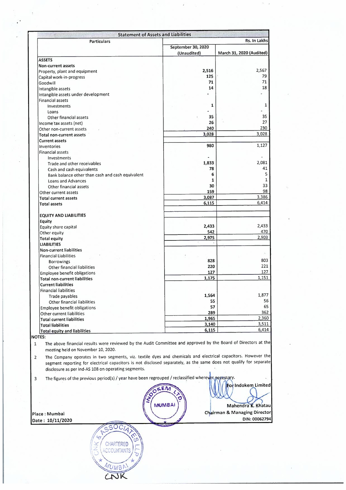| <b>Particulars</b>                               |                    | Rs. In Lakhs                    |
|--------------------------------------------------|--------------------|---------------------------------|
|                                                  | September 30, 2020 |                                 |
|                                                  | (Unaudited)        | <b>March 31, 2020 (Audited)</b> |
|                                                  |                    |                                 |
| <b>ASSETS</b>                                    |                    |                                 |
| <b>Non-current assets</b>                        |                    |                                 |
| Property, plant and equipment                    | 2,516              | 2,567                           |
| Capital work-in-progress                         | 125                | 79                              |
| Goodwill                                         | 71                 | 71                              |
| Intangible assets                                | 14                 | 18                              |
| Intangible assets under development              |                    |                                 |
| <b>Financial assets</b>                          |                    |                                 |
|                                                  | 1                  | 1                               |
| Investments                                      |                    |                                 |
| Loans                                            |                    |                                 |
| Other financial assets                           | 35                 | 35                              |
| Income tax assets (net)                          | 26                 | 27                              |
| Other non-current assets                         | 240                | 230                             |
| <b>Total non-current assets</b>                  | 3,028              | 3,028                           |
| <b>Current assets</b>                            |                    |                                 |
| Inventories                                      | 980                | 1,127                           |
| <b>Financial assets</b>                          |                    |                                 |
|                                                  |                    |                                 |
| Investments                                      |                    | 2.081                           |
| Trade and other receivables                      | 1,833              |                                 |
| Cash and cash equivalents                        | 78                 | 41                              |
| Bank balance other than cash and cash equivalent | 6                  |                                 |
| Loans and Advances                               | 1                  |                                 |
| Other financial assets                           | 30                 | 33                              |
| Other current assets                             | 159                | 98                              |
| <b>Total current assets</b>                      | 3,087              | 3,386                           |
|                                                  | 6,115              | 6,414                           |
| <b>Total assets</b>                              |                    |                                 |
|                                                  |                    |                                 |
| <b>EQUITY AND LIABILITIES</b>                    |                    |                                 |
| <b>Equity</b>                                    |                    |                                 |
| Equity share capital                             | 2,433              | 2,433                           |
| Other equity                                     | 542                | 470                             |
| <b>Total equity</b>                              | 2,975              | 2,903                           |
| <b>LIABILITIES</b>                               |                    |                                 |
| <b>Non-current liabilities</b>                   |                    |                                 |
|                                                  |                    |                                 |
| <b>Financial Liabilities</b>                     | 828                | 803                             |
| <b>Borrowings</b>                                |                    |                                 |
| Other financial liabilities                      | 220                | 221                             |
| <b>Employee benefit obligations</b>              | 127                | 127                             |
| <b>Total non-current liabilities</b>             | 1,175              | 1,151                           |
| <b>Current liabilities</b>                       |                    |                                 |
| <b>Financial liabilities</b>                     |                    |                                 |
|                                                  | 1,564              | 1,877                           |
| Trade payables                                   | 55                 | 56                              |
| Other financial liabilities                      |                    | 65                              |
| Employee benefit obligations                     | 57                 |                                 |
| Other current liabilities                        | 289                | 362                             |
| <b>Total current liabilities</b>                 | 1,965              | 2,360                           |
| <b>Total liabilities</b>                         | 3,140              | 3,511                           |
| <b>Total equity and liabilities</b>              | 6,115              | 6,414                           |

×

SSOCIA

CHARTERED

MUMBA

**ANSI** 

 $\overline{r}$ خ

p

 $\mathbf{\hat{e}}$ 

¥

 $\frac{1}{\sigma}$ 

 $\hat{\boldsymbol{\epsilon}}$ 

 $\bar{z}$ 

**Date: 10/11/2020** 

**irman** & **Managing Director DIN:00062794** 

 $\mathcal{H}_{\mathrm{c}}$  .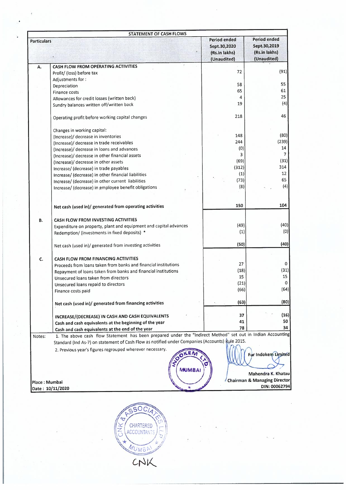|                    | STATEMENT OF CASH FLOWS                                                                                                                                                                                        |                                                              |                                                                     |  |
|--------------------|----------------------------------------------------------------------------------------------------------------------------------------------------------------------------------------------------------------|--------------------------------------------------------------|---------------------------------------------------------------------|--|
| <b>Particulars</b> |                                                                                                                                                                                                                | Period ended<br>Sept.30,2020<br>(Rs.in lakhs)<br>(Unaudited) | <b>Period ended</b><br>Sept.30,2019<br>(Rs.in lakhs)<br>(Unaudited) |  |
| А.                 | CASH FLOW FROM OPERATING ACTIVITIES                                                                                                                                                                            |                                                              |                                                                     |  |
|                    | Profit/ (loss) before tax                                                                                                                                                                                      | 72                                                           | (91)                                                                |  |
|                    | Adjustments for:                                                                                                                                                                                               |                                                              |                                                                     |  |
|                    | Depreciation                                                                                                                                                                                                   | 58                                                           | 55                                                                  |  |
|                    | <b>Finance costs</b>                                                                                                                                                                                           | 65                                                           | 61                                                                  |  |
|                    | Allowances for credit losses (written back)                                                                                                                                                                    | 4                                                            | 25                                                                  |  |
|                    | Sundry balances written off/written back                                                                                                                                                                       | 19                                                           | (4)                                                                 |  |
|                    | Operating profit before working capital changes                                                                                                                                                                | 218                                                          | 46                                                                  |  |
|                    | Changes in working capital:                                                                                                                                                                                    |                                                              |                                                                     |  |
|                    | (Increase)/ decrease in inventories                                                                                                                                                                            | 148                                                          | (80)                                                                |  |
|                    | (Increase)/ decrease in trade receivables                                                                                                                                                                      | 244                                                          | (239)                                                               |  |
|                    | (Increase)/ decrease in loans and advances                                                                                                                                                                     | (0)                                                          | 14                                                                  |  |
|                    | (Increase)/ decrease in other financial assets                                                                                                                                                                 | 3                                                            | 7                                                                   |  |
|                    | (Increase)/ decrease in other assets                                                                                                                                                                           | (69)                                                         | (31)                                                                |  |
|                    | Increase/ (decrease) in trade payables                                                                                                                                                                         | (312)                                                        | 314                                                                 |  |
|                    | Increase/ (decrease) in other financial liabilities                                                                                                                                                            | (1)                                                          | 12                                                                  |  |
|                    | Increase/ (decrease) in other current liabilities                                                                                                                                                              | (73)                                                         | 65                                                                  |  |
|                    | Increase/ (decrease) in employee benefit obligations                                                                                                                                                           | (8)                                                          | (4)                                                                 |  |
|                    | Net cash (used in)/ generated from operating activities                                                                                                                                                        | 150                                                          | 104                                                                 |  |
| B.                 | CASH FLOW FROM INVESTING ACTIVITIES                                                                                                                                                                            |                                                              |                                                                     |  |
|                    | Expenditure on property, plant and equipment and capital advances                                                                                                                                              | (49)                                                         | (40)                                                                |  |
|                    | Redemption/ (investments in fixed deposits) *                                                                                                                                                                  | (1)                                                          | (0)                                                                 |  |
|                    | Net cash (used in)/ generated from investing activities                                                                                                                                                        | (50)                                                         | (40)                                                                |  |
| C.                 | <b>CASH FLOW FROM FINANCING ACTIVITIES</b>                                                                                                                                                                     |                                                              |                                                                     |  |
|                    | Proceeds from loans taken from banks and financial institutions                                                                                                                                                | 27                                                           | 0                                                                   |  |
|                    | Repayment of loans taken from banks and financial institutions                                                                                                                                                 | (18)                                                         | (31)                                                                |  |
|                    | Unsecured loans taken from directors                                                                                                                                                                           | 15                                                           | 15                                                                  |  |
|                    | Unsecured loans repaid to directors                                                                                                                                                                            | (21)                                                         | 0                                                                   |  |
|                    | Finance costs paid                                                                                                                                                                                             | (66)                                                         | (64)                                                                |  |
|                    | Net cash (used in)/ generated from financing activities                                                                                                                                                        | (63)                                                         | (80)                                                                |  |
|                    | INCREASE/(DECREASE) IN CASH AND CASH EQUIVALENTS                                                                                                                                                               | 37                                                           | (16)                                                                |  |
|                    | Cash and cash equivalents at the beginning of the year                                                                                                                                                         | 41                                                           | 50                                                                  |  |
|                    | Cash and cash equivalents at the end of the year                                                                                                                                                               | 78                                                           | 34                                                                  |  |
| Notes:             | 1. The above cash flow Statement has been prepared under the "Indirect Method" set out in Indian Accounting<br>Standard (Ind As-7) on statement of Cash Flow as notified under Companies (Accounts) Rule 2015. |                                                              |                                                                     |  |
|                    | 2. Previous year's figures regrouped wherever necessary.<br><b>SOREA</b>                                                                                                                                       |                                                              | For Indokem Limited                                                 |  |
|                    | <b>MUMBA</b>                                                                                                                                                                                                   |                                                              | Mahendra K. Khatau                                                  |  |
| Place : Mumbai     |                                                                                                                                                                                                                |                                                              | <b>Chairman &amp; Managing Director</b>                             |  |
|                    | Date: 10/11/2020                                                                                                                                                                                               |                                                              | DIN: 00062794                                                       |  |

 $\overline{\phantom{a}}$